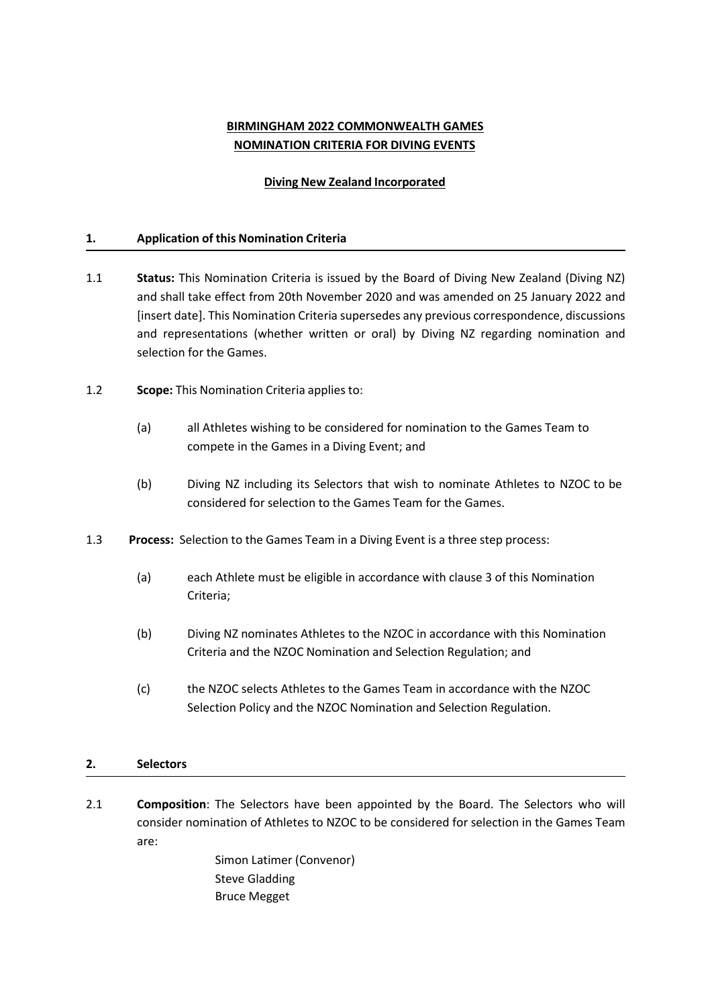# **BIRMINGHAM 2022 COMMONWEALTH GAMES NOMINATION CRITERIA FOR DIVING EVENTS**

### **Diving New Zealand Incorporated**

### **1. Application of this Nomination Criteria**

- 1.1 **Status:** This Nomination Criteria is issued by the Board of Diving New Zealand (Diving NZ) and shall take effect from 20th November 2020 and was amended on 25 January 2022 and [insert date]. This Nomination Criteria supersedes any previous correspondence, discussions and representations (whether written or oral) by Diving NZ regarding nomination and selection for the Games.
- 1.2 **Scope:** This Nomination Criteria applies to:
	- (a) all Athletes wishing to be considered for nomination to the Games Team to compete in the Games in a Diving Event; and
	- (b) Diving NZ including its Selectors that wish to nominate Athletes to NZOC to be considered for selection to the Games Team for the Games.
- 1.3 **Process:** Selection to the Games Team in a Diving Event is a three step process:
	- (a) each Athlete must be eligible in accordance with clause 3 of this Nomination Criteria;
	- (b) Diving NZ nominates Athletes to the NZOC in accordance with this Nomination Criteria and the NZOC Nomination and Selection Regulation; and
	- (c) the NZOC selects Athletes to the Games Team in accordance with the NZOC Selection Policy and the NZOC Nomination and Selection Regulation.

### **2. Selectors**

2.1 **Composition**: The Selectors have been appointed by the Board. The Selectors who will consider nomination of Athletes to NZOC to be considered for selection in the Games Team are:

> Simon Latimer (Convenor) Steve Gladding Bruce Megget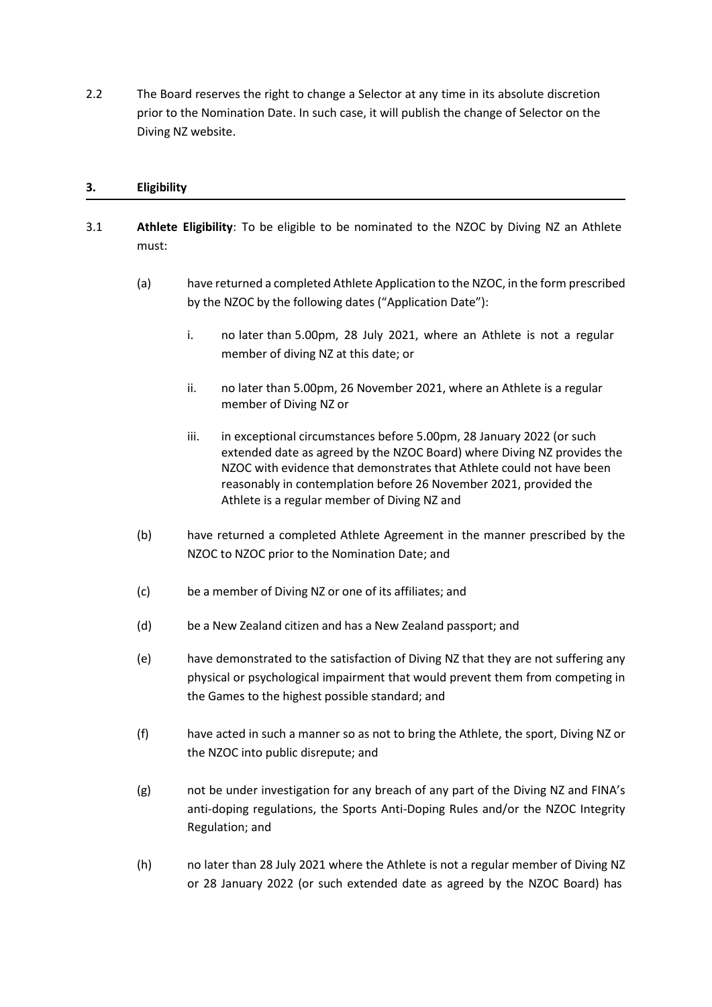2.2 The Board reserves the right to change a Selector at any time in its absolute discretion prior to the Nomination Date. In such case, it will publish the change of Selector on the Diving NZ website.

### **3. Eligibility**

- 3.1 **Athlete Eligibility**: To be eligible to be nominated to the NZOC by Diving NZ an Athlete must:
	- (a) have returned a completed Athlete Application to the NZOC, in the form prescribed by the NZOC by the following dates ("Application Date"):
		- i. no later than 5.00pm, 28 July 2021, where an Athlete is not a regular member of diving NZ at this date; or
		- ii. no later than 5.00pm, 26 November 2021, where an Athlete is a regular member of Diving NZ or
		- iii. in exceptional circumstances before 5.00pm, 28 January 2022 (or such extended date as agreed by the NZOC Board) where Diving NZ provides the NZOC with evidence that demonstrates that Athlete could not have been reasonably in contemplation before 26 November 2021, provided the Athlete is a regular member of Diving NZ and
	- (b) have returned a completed Athlete Agreement in the manner prescribed by the NZOC to NZOC prior to the Nomination Date; and
	- (c) be a member of Diving NZ or one of its affiliates; and
	- (d) be a New Zealand citizen and has a New Zealand passport; and
	- (e) have demonstrated to the satisfaction of Diving NZ that they are not suffering any physical or psychological impairment that would prevent them from competing in the Games to the highest possible standard; and
	- (f) have acted in such a manner so as not to bring the Athlete, the sport, Diving NZ or the NZOC into public disrepute; and
	- (g) not be under investigation for any breach of any part of the Diving NZ and FINA's anti-doping regulations, the Sports Anti-Doping Rules and/or the NZOC Integrity Regulation; and
	- (h) no later than 28 July 2021 where the Athlete is not a regular member of Diving NZ or 28 January 2022 (or such extended date as agreed by the NZOC Board) has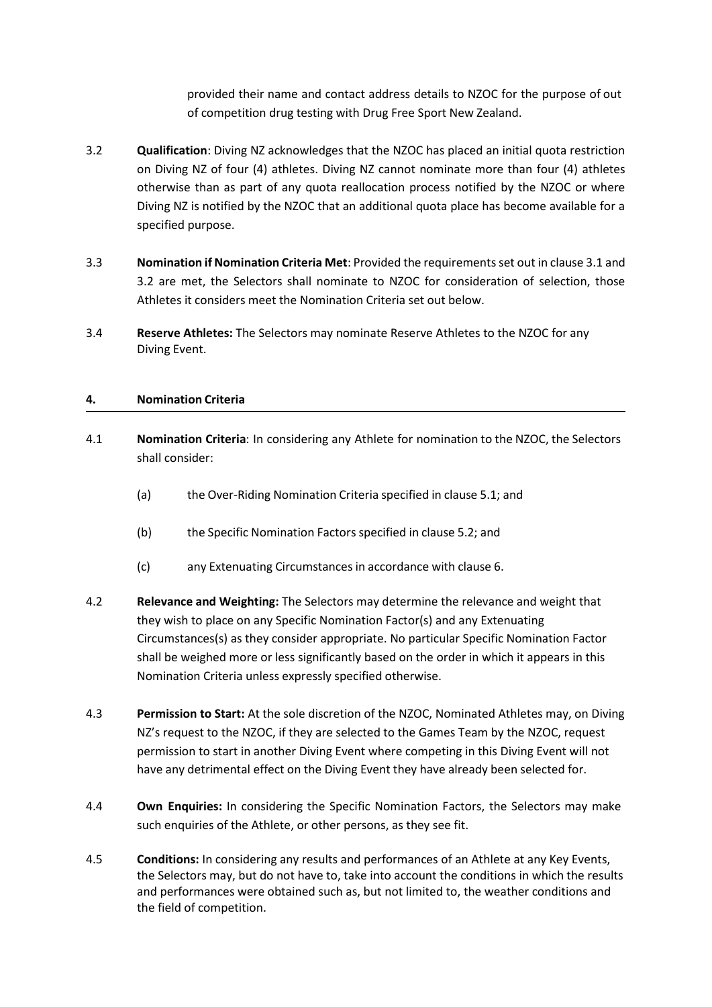provided their name and contact address details to NZOC for the purpose of out of competition drug testing with Drug Free Sport New Zealand.

- 3.2 **Qualification**: Diving NZ acknowledges that the NZOC has placed an initial quota restriction on Diving NZ of four (4) athletes. Diving NZ cannot nominate more than four (4) athletes otherwise than as part of any quota reallocation process notified by the NZOC or where Diving NZ is notified by the NZOC that an additional quota place has become available for a specified purpose.
- 3.3 **Nomination if Nomination Criteria Met**: Provided the requirements set out in clause 3.1 and 3.2 are met, the Selectors shall nominate to NZOC for consideration of selection, those Athletes it considers meet the Nomination Criteria set out below.
- 3.4 **Reserve Athletes:** The Selectors may nominate Reserve Athletes to the NZOC for any Diving Event.

### **4. Nomination Criteria**

- 4.1 **Nomination Criteria**: In considering any Athlete for nomination to the NZOC, the Selectors shall consider:
	- (a) the Over-Riding Nomination Criteria specified in clause 5.1; and
	- (b) the Specific Nomination Factors specified in clause 5.2; and
	- (c) any Extenuating Circumstances in accordance with clause 6.
- 4.2 **Relevance and Weighting:** The Selectors may determine the relevance and weight that they wish to place on any Specific Nomination Factor(s) and any Extenuating Circumstances(s) as they consider appropriate. No particular Specific Nomination Factor shall be weighed more or less significantly based on the order in which it appears in this Nomination Criteria unless expressly specified otherwise.
- 4.3 **Permission to Start:** At the sole discretion of the NZOC, Nominated Athletes may, on Diving NZ's request to the NZOC, if they are selected to the Games Team by the NZOC, request permission to start in another Diving Event where competing in this Diving Event will not have any detrimental effect on the Diving Event they have already been selected for.
- 4.4 **Own Enquiries:** In considering the Specific Nomination Factors, the Selectors may make such enquiries of the Athlete, or other persons, as they see fit.
- 4.5 **Conditions:** In considering any results and performances of an Athlete at any Key Events, the Selectors may, but do not have to, take into account the conditions in which the results and performances were obtained such as, but not limited to, the weather conditions and the field of competition.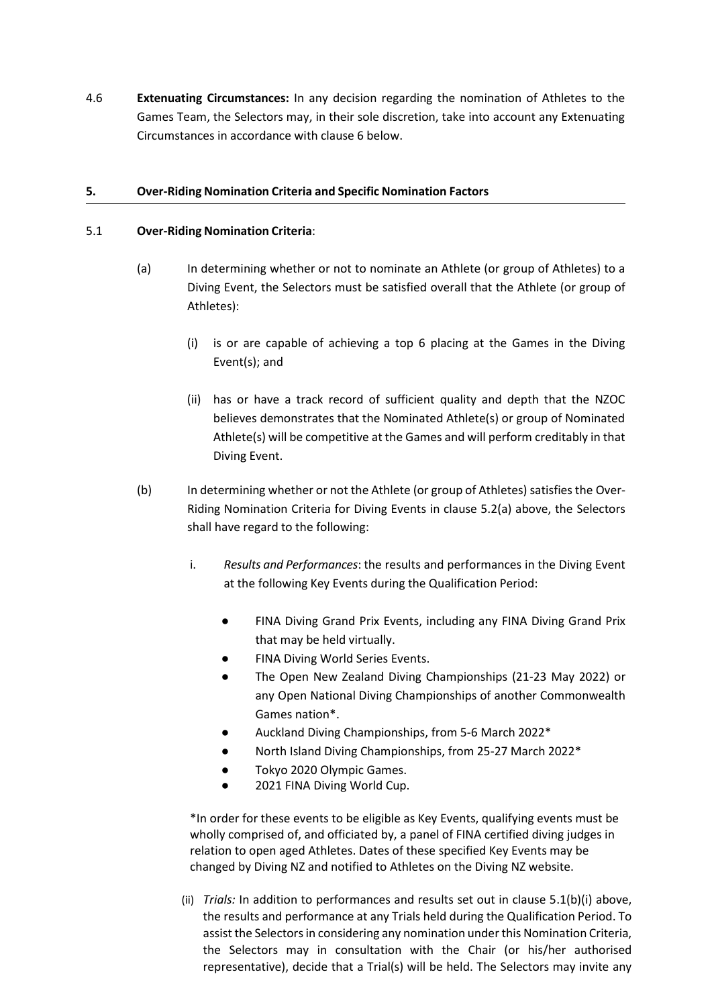4.6 **Extenuating Circumstances:** In any decision regarding the nomination of Athletes to the Games Team, the Selectors may, in their sole discretion, take into account any Extenuating Circumstances in accordance with clause 6 below.

## **5. Over-Riding Nomination Criteria and Specific Nomination Factors**

### 5.1 **Over-Riding Nomination Criteria**:

- (a) In determining whether or not to nominate an Athlete (or group of Athletes) to a Diving Event, the Selectors must be satisfied overall that the Athlete (or group of Athletes):
	- (i) is or are capable of achieving a top 6 placing at the Games in the Diving Event(s); and
	- (ii) has or have a track record of sufficient quality and depth that the NZOC believes demonstrates that the Nominated Athlete(s) or group of Nominated Athlete(s) will be competitive at the Games and will perform creditably in that Diving Event.
- (b) In determining whether or not the Athlete (or group of Athletes) satisfies the Over-Riding Nomination Criteria for Diving Events in clause 5.2(a) above, the Selectors shall have regard to the following:
	- i. *Results and Performances*: the results and performances in the Diving Event at the following Key Events during the Qualification Period:
		- FINA Diving Grand Prix Events, including any FINA Diving Grand Prix that may be held virtually.
		- FINA Diving World Series Events.
		- The Open New Zealand Diving Championships (21-23 May 2022) or any Open National Diving Championships of another Commonwealth Games nation\*.
		- Auckland Diving Championships, from 5-6 March 2022\*
		- North Island Diving Championships, from 25-27 March 2022\*
		- Tokyo 2020 Olympic Games.
		- 2021 FINA Diving World Cup.

\*In order for these events to be eligible as Key Events, qualifying events must be wholly comprised of, and officiated by, a panel of FINA certified diving judges in relation to open aged Athletes. Dates of these specified Key Events may be changed by Diving NZ and notified to Athletes on the Diving NZ website.

(ii) *Trials:* In addition to performances and results set out in clause 5.1(b)(i) above, the results and performance at any Trials held during the Qualification Period. To assist the Selectors in considering any nomination under this Nomination Criteria, the Selectors may in consultation with the Chair (or his/her authorised representative), decide that a Trial(s) will be held. The Selectors may invite any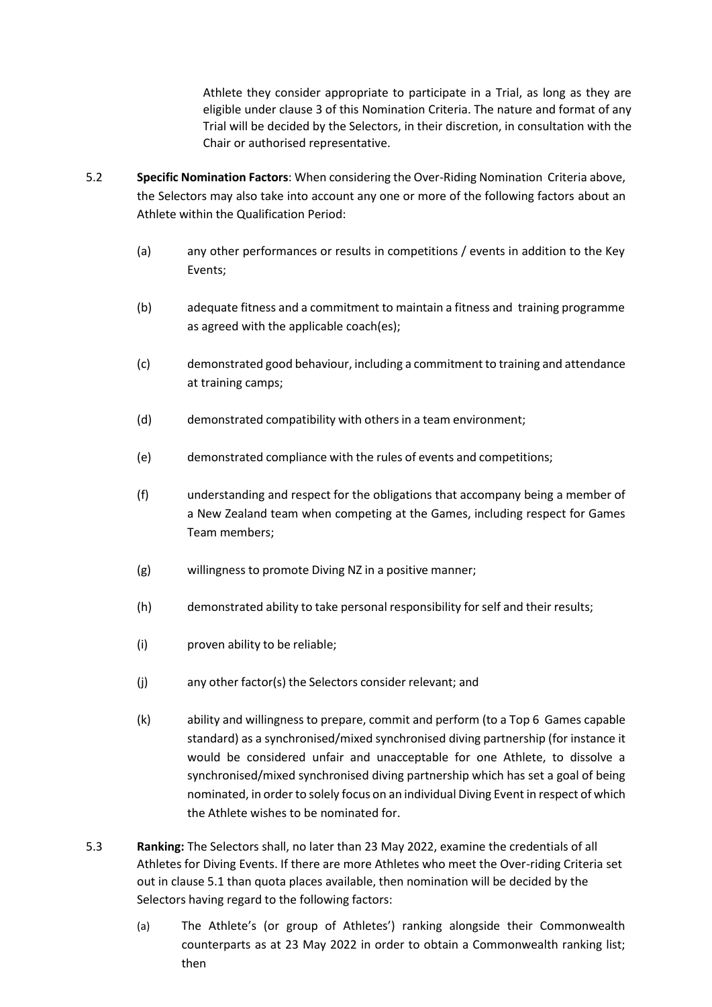Athlete they consider appropriate to participate in a Trial, as long as they are eligible under clause 3 of this Nomination Criteria. The nature and format of any Trial will be decided by the Selectors, in their discretion, in consultation with the Chair or authorised representative.

- 5.2 **Specific Nomination Factors**: When considering the Over-Riding Nomination Criteria above, the Selectors may also take into account any one or more of the following factors about an Athlete within the Qualification Period:
	- (a) any other performances or results in competitions / events in addition to the Key Events;
	- (b) adequate fitness and a commitment to maintain a fitness and training programme as agreed with the applicable coach(es);
	- (c) demonstrated good behaviour, including a commitment to training and attendance at training camps;
	- (d) demonstrated compatibility with others in a team environment;
	- (e) demonstrated compliance with the rules of events and competitions;
	- (f) understanding and respect for the obligations that accompany being a member of a New Zealand team when competing at the Games, including respect for Games Team members;
	- (g) willingness to promote Diving NZ in a positive manner;
	- (h) demonstrated ability to take personal responsibility forself and their results;
	- (i) proven ability to be reliable;
	- (j) any other factor(s) the Selectors consider relevant; and
	- (k) ability and willingness to prepare, commit and perform (to a Top 6 Games capable standard) as a synchronised/mixed synchronised diving partnership (for instance it would be considered unfair and unacceptable for one Athlete, to dissolve a synchronised/mixed synchronised diving partnership which has set a goal of being nominated, in order to solely focus on an individual Diving Event in respect of which the Athlete wishes to be nominated for.
- 5.3 **Ranking:** The Selectors shall, no later than 23 May 2022, examine the credentials of all Athletes for Diving Events. If there are more Athletes who meet the Over-riding Criteria set out in clause 5.1 than quota places available, then nomination will be decided by the Selectors having regard to the following factors:
	- (a) The Athlete's (or group of Athletes') ranking alongside their Commonwealth counterparts as at 23 May 2022 in order to obtain a Commonwealth ranking list; then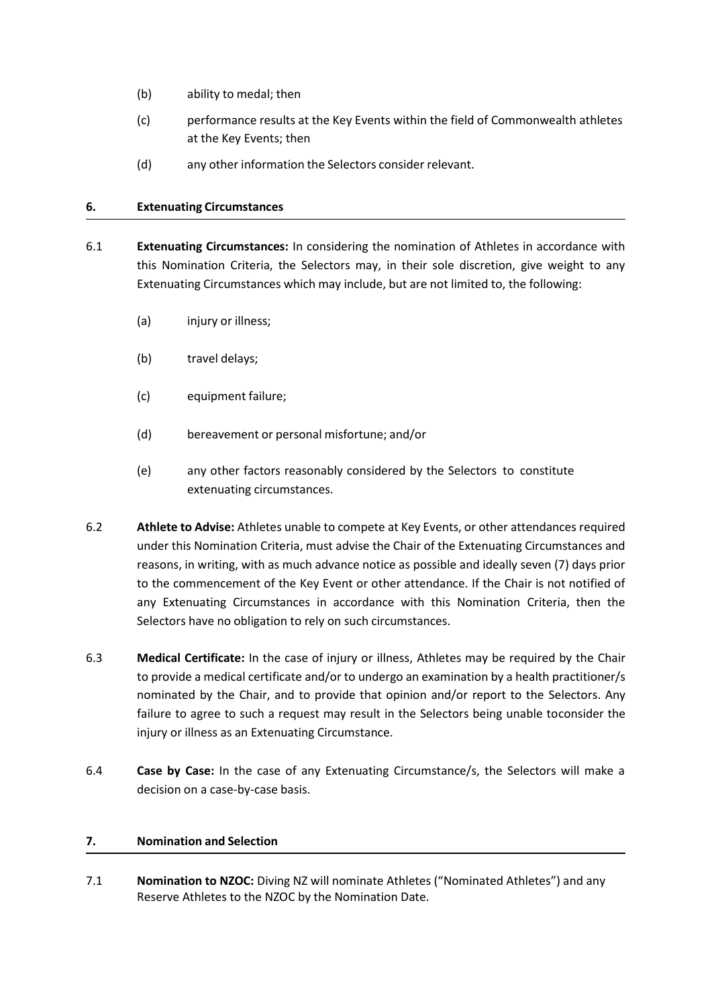- (b) ability to medal; then
- (c) performance results at the Key Events within the field of Commonwealth athletes at the Key Events; then
- (d) any other information the Selectors consider relevant.

### **6. Extenuating Circumstances**

- 6.1 **Extenuating Circumstances:** In considering the nomination of Athletes in accordance with this Nomination Criteria, the Selectors may, in their sole discretion, give weight to any Extenuating Circumstances which may include, but are not limited to, the following:
	- (a) injury or illness;
	- (b) travel delays;
	- (c) equipment failure;
	- (d) bereavement or personal misfortune; and/or
	- (e) any other factors reasonably considered by the Selectors to constitute extenuating circumstances.
- 6.2 **Athlete to Advise:** Athletes unable to compete at Key Events, or other attendances required under this Nomination Criteria, must advise the Chair of the Extenuating Circumstances and reasons, in writing, with as much advance notice as possible and ideally seven (7) days prior to the commencement of the Key Event or other attendance. If the Chair is not notified of any Extenuating Circumstances in accordance with this Nomination Criteria, then the Selectors have no obligation to rely on such circumstances.
- 6.3 **Medical Certificate:** In the case of injury or illness, Athletes may be required by the Chair to provide a medical certificate and/or to undergo an examination by a health practitioner/s nominated by the Chair, and to provide that opinion and/or report to the Selectors. Any failure to agree to such a request may result in the Selectors being unable toconsider the injury or illness as an Extenuating Circumstance.
- 6.4 **Case by Case:** In the case of any Extenuating Circumstance/s, the Selectors will make a decision on a case-by-case basis.

### **7. Nomination and Selection**

7.1 **Nomination to NZOC:** Diving NZ will nominate Athletes ("Nominated Athletes") and any Reserve Athletes to the NZOC by the Nomination Date.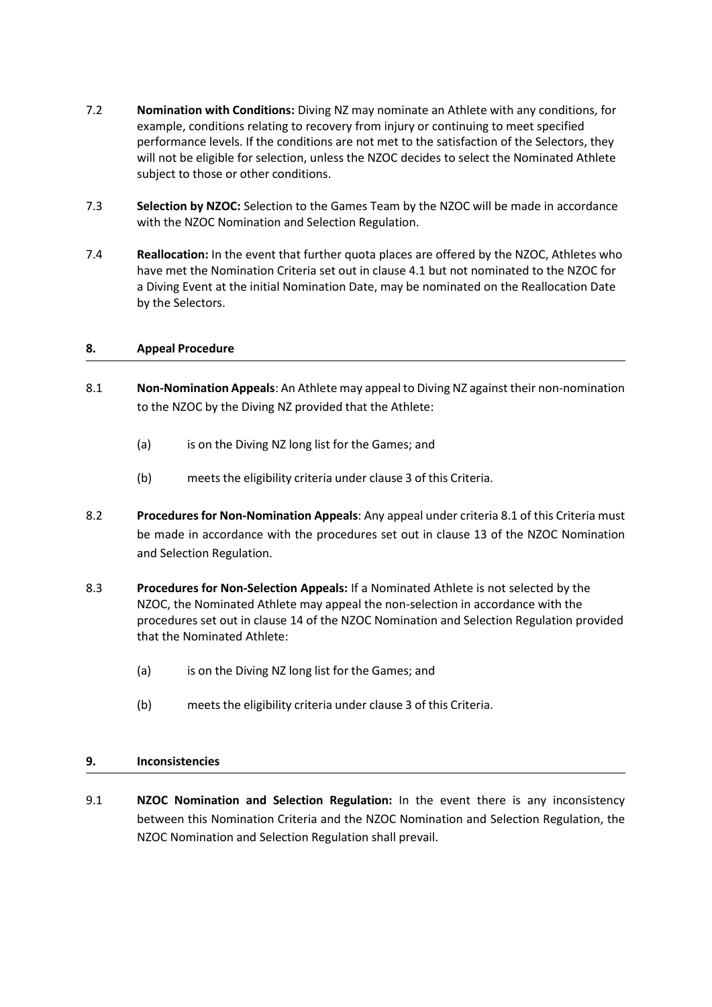- 7.2 **Nomination with Conditions:** Diving NZ may nominate an Athlete with any conditions, for example, conditions relating to recovery from injury or continuing to meet specified performance levels. If the conditions are not met to the satisfaction of the Selectors, they will not be eligible for selection, unless the NZOC decides to select the Nominated Athlete subject to those or other conditions.
- 7.3 **Selection by NZOC:** Selection to the Games Team by the NZOC will be made in accordance with the NZOC Nomination and Selection Regulation.
- 7.4 **Reallocation:** In the event that further quota places are offered by the NZOC, Athletes who have met the Nomination Criteria set out in clause 4.1 but not nominated to the NZOC for a Diving Event at the initial Nomination Date, may be nominated on the Reallocation Date by the Selectors.

### **8. Appeal Procedure**

- 8.1 **Non-Nomination Appeals**: An Athlete may appeal to Diving NZ against their non-nomination to the NZOC by the Diving NZ provided that the Athlete:
	- (a) is on the Diving NZ long list for the Games; and
	- (b) meets the eligibility criteria under clause 3 of this Criteria.
- 8.2 **Procedures for Non-Nomination Appeals**: Any appeal under criteria 8.1 of this Criteria must be made in accordance with the procedures set out in clause 13 of the NZOC Nomination and Selection Regulation.
- 8.3 **Procedures for Non-Selection Appeals:** If a Nominated Athlete is not selected by the NZOC, the Nominated Athlete may appeal the non-selection in accordance with the procedures set out in clause 14 of the NZOC Nomination and Selection Regulation provided that the Nominated Athlete:
	- (a) is on the Diving NZ long list for the Games; and
	- (b) meets the eligibility criteria under clause 3 of this Criteria.

### **9. Inconsistencies**

9.1 **NZOC Nomination and Selection Regulation:** In the event there is any inconsistency between this Nomination Criteria and the NZOC Nomination and Selection Regulation, the NZOC Nomination and Selection Regulation shall prevail.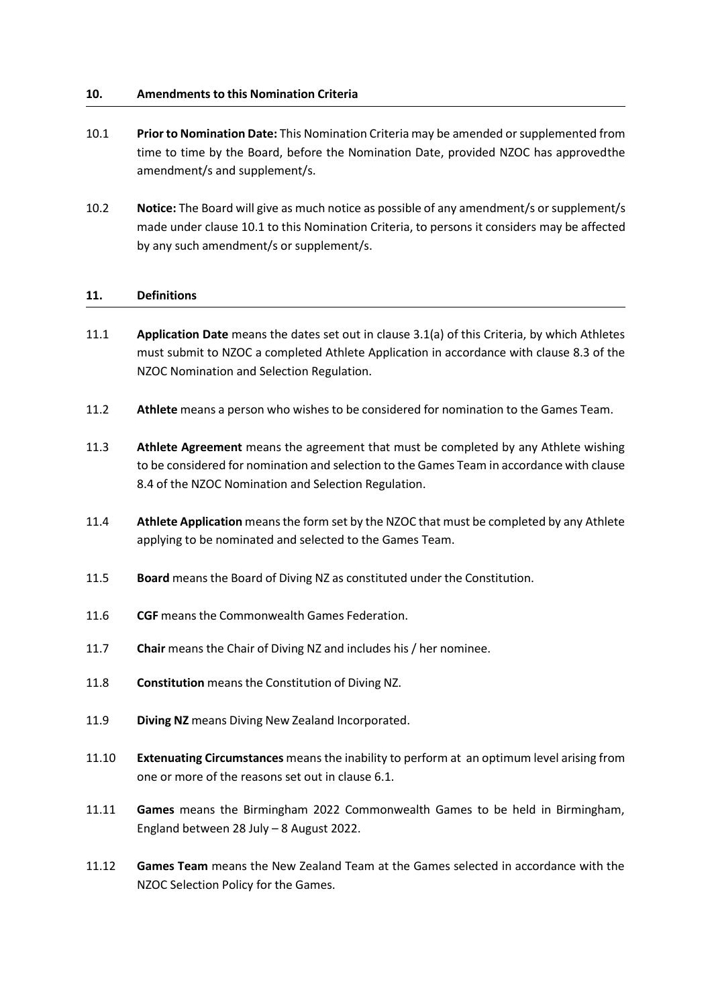### **10. Amendments to this Nomination Criteria**

- 10.1 **Prior to Nomination Date:** This Nomination Criteria may be amended or supplemented from time to time by the Board, before the Nomination Date, provided NZOC has approvedthe amendment/s and supplement/s.
- 10.2 **Notice:** The Board will give as much notice as possible of any amendment/s orsupplement/s made under clause 10.1 to this Nomination Criteria, to persons it considers may be affected by any such amendment/s or supplement/s.

### **11. Definitions**

- 11.1 **Application Date** means the dates set out in clause 3.1(a) of this Criteria, by which Athletes must submit to NZOC a completed Athlete Application in accordance with clause 8.3 of the NZOC Nomination and Selection Regulation.
- 11.2 **Athlete** means a person who wishes to be considered for nomination to the Games Team.
- 11.3 **Athlete Agreement** means the agreement that must be completed by any Athlete wishing to be considered for nomination and selection to the Games Team in accordance with clause 8.4 of the NZOC Nomination and Selection Regulation.
- 11.4 **Athlete Application** means the form set by the NZOC that must be completed by any Athlete applying to be nominated and selected to the Games Team.
- 11.5 **Board** meansthe Board of Diving NZ as constituted under the Constitution.
- 11.6 **CGF** meansthe Commonwealth Games Federation.
- 11.7 **Chair** means the Chair of Diving NZ and includes his / her nominee.
- 11.8 **Constitution** means the Constitution of Diving NZ.
- 11.9 **Diving NZ** means Diving New Zealand Incorporated.
- 11.10 **Extenuating Circumstances** meansthe inability to perform at an optimum level arising from one or more of the reasons set out in clause 6.1.
- 11.11 **Games** means the Birmingham 2022 Commonwealth Games to be held in Birmingham, England between 28 July – 8 August 2022.
- 11.12 **Games Team** means the New Zealand Team at the Games selected in accordance with the NZOC Selection Policy for the Games.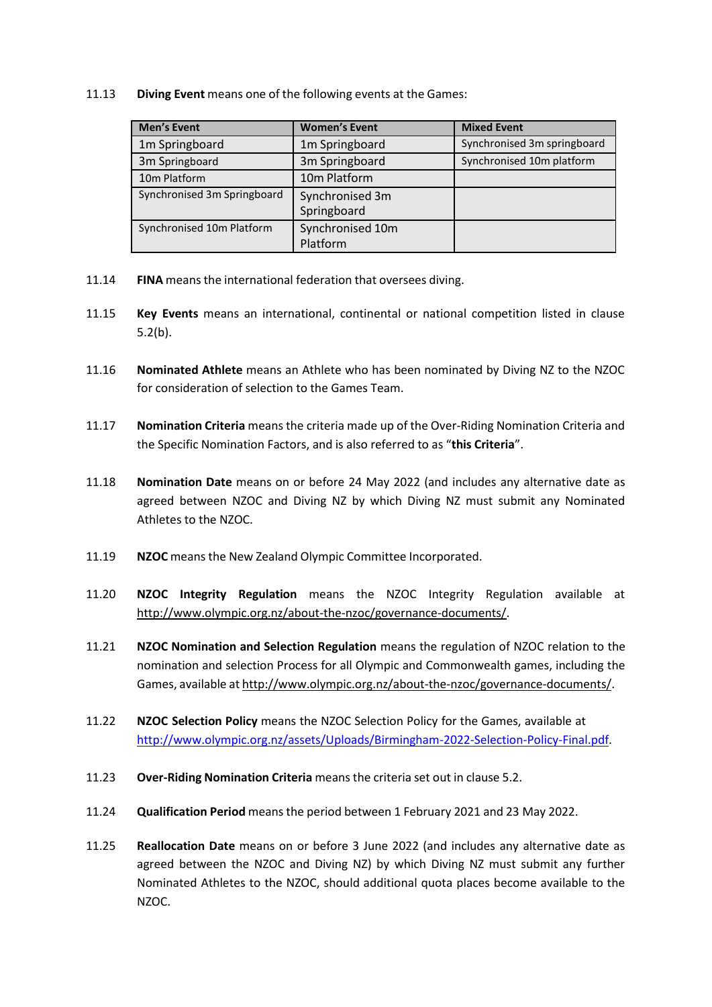### 11.13 **Diving Event** means one of the following events at the Games:

| <b>Men's Event</b>          | <b>Women's Event</b>           | <b>Mixed Event</b>          |
|-----------------------------|--------------------------------|-----------------------------|
| 1m Springboard              | 1m Springboard                 | Synchronised 3m springboard |
| 3m Springboard              | 3m Springboard                 | Synchronised 10m platform   |
| 10m Platform                | 10m Platform                   |                             |
| Synchronised 3m Springboard | Synchronised 3m<br>Springboard |                             |
| Synchronised 10m Platform   | Synchronised 10m<br>Platform   |                             |

- 11.14 **FINA** meansthe international federation that oversees diving.
- 11.15 **Key Events** means an international, continental or national competition listed in clause  $5.2(b)$ .
- 11.16 **Nominated Athlete** means an Athlete who has been nominated by Diving NZ to the NZOC for consideration of selection to the Games Team.
- 11.17 **Nomination Criteria** means the criteria made up of the Over-Riding Nomination Criteria and the Specific Nomination Factors, and is also referred to as "**this Criteria**".
- 11.18 **Nomination Date** means on or before 24 May 2022 (and includes any alternative date as agreed between NZOC and Diving NZ by which Diving NZ must submit any Nominated Athletes to the NZOC.
- 11.19 **NZOC** meansthe New Zealand Olympic Committee Incorporated.
- 11.20 **NZOC Integrity Regulation** means the NZOC Integrity Regulation available at [http://www.olympic.org.nz/about-the-nzoc/governance-documents/.](http://www.olympic.org.nz/about-the-nzoc/governance-documents/)
- 11.21 **NZOC Nomination and Selection Regulation** means the regulation of NZOC relation to the nomination and selection Process for all Olympic and Commonwealth games, including the Games, available at [http://www.olympic.org.nz/about-the-nzoc/governance-documents/.](http://www.olympic.org.nz/about-the-nzoc/governance-documents/)
- 11.22 **NZOC Selection Policy** means the NZOC Selection Policy for the Games, available at [http://www.olympic.org.nz/assets/Uploads/Birmingham-2022-Selection-Policy-Final.pdf.](http://www.olympic.org.nz/assets/Uploads/Birmingham-2022-Selection-Policy-Final.pdf)
- 11.23 **Over-Riding Nomination Criteria** meansthe criteria set out in clause 5.2.
- 11.24 **Qualification Period** means the period between 1 February 2021 and 23 May 2022.
- 11.25 **Reallocation Date** means on or before 3 June 2022 (and includes any alternative date as agreed between the NZOC and Diving NZ) by which Diving NZ must submit any further Nominated Athletes to the NZOC, should additional quota places become available to the NZOC.